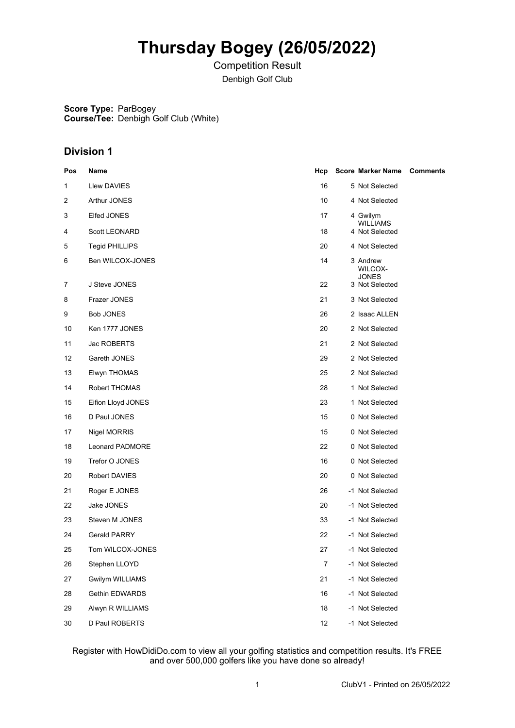# **Thursday Bogey (26/05/2022)**

Competition Result Denbigh Golf Club

**Score Type:** ParBogey **Course/Tee:** Denbigh Golf Club (White)

### **Division 1**

| <u>Pos</u> | <u>Name</u>            | <u>Hcp</u>     | <b>Score Marker Name</b>   | <u>Comments</u> |
|------------|------------------------|----------------|----------------------------|-----------------|
| 1          | Llew DAVIES            | 16             | 5 Not Selected             |                 |
| 2          | Arthur JONES           | 10             | 4 Not Selected             |                 |
| 3          | Elfed JONES            | 17             | 4 Gwilym                   |                 |
| 4          | <b>Scott LEONARD</b>   | 18             | WILLIAMS<br>4 Not Selected |                 |
| 5          | <b>Tegid PHILLIPS</b>  | 20             | 4 Not Selected             |                 |
| 6          | Ben WILCOX-JONES       | 14             | 3 Andrew<br>WILCOX-        |                 |
| 7          | J Steve JONES          | 22             | JONES<br>3 Not Selected    |                 |
| 8          | Frazer JONES           | 21             | 3 Not Selected             |                 |
| 9          | <b>Bob JONES</b>       | 26             | 2 Isaac ALLEN              |                 |
| 10         | Ken 1777 JONES         | 20             | 2 Not Selected             |                 |
| 11         | Jac ROBERTS            | 21             | 2 Not Selected             |                 |
| 12         | Gareth JONES           | 29             | 2 Not Selected             |                 |
| 13         | Elwyn THOMAS           | 25             | 2 Not Selected             |                 |
| 14         | Robert THOMAS          | 28             | 1 Not Selected             |                 |
| 15         | Eifion Lloyd JONES     | 23             | 1 Not Selected             |                 |
| 16         | D Paul JONES           | 15             | 0 Not Selected             |                 |
| 17         | Nigel MORRIS           | 15             | 0 Not Selected             |                 |
| 18         | Leonard PADMORE        | 22             | 0 Not Selected             |                 |
| 19         | Trefor O JONES         | 16             | 0 Not Selected             |                 |
| 20         | Robert DAVIES          | 20             | 0 Not Selected             |                 |
| 21         | Roger E JONES          | 26             | -1 Not Selected            |                 |
| 22         | Jake JONES             | 20             | -1 Not Selected            |                 |
| 23         | Steven M JONES         | 33             | -1 Not Selected            |                 |
| 24         | Gerald PARRY           | 22             | -1 Not Selected            |                 |
| 25         | Tom WILCOX-JONES       | 27             | -1 Not Selected            |                 |
| 26         | Stephen LLOYD          | $\overline{7}$ | -1 Not Selected            |                 |
| 27         | <b>Gwilym WILLIAMS</b> | 21             | -1 Not Selected            |                 |
| 28         | Gethin EDWARDS         | 16             | -1 Not Selected            |                 |
| 29         | Alwyn R WILLIAMS       | 18             | -1 Not Selected            |                 |
| 30         | D Paul ROBERTS         | 12             | -1 Not Selected            |                 |

Register with HowDidiDo.com to view all your golfing statistics and competition results. It's FREE and over 500,000 golfers like you have done so already!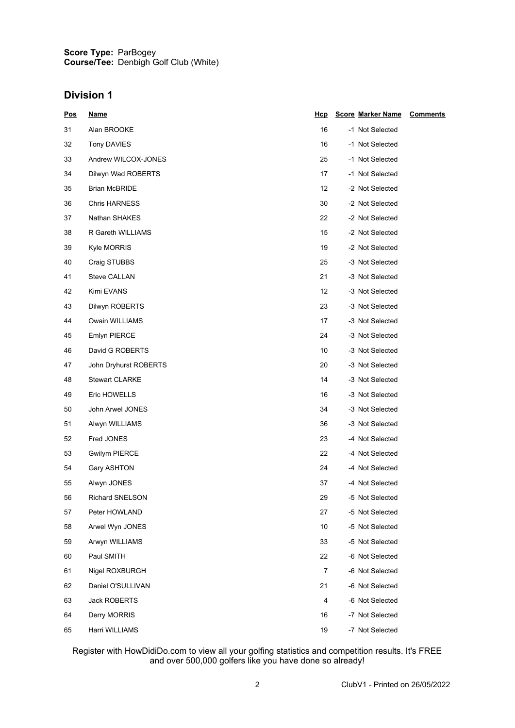#### **Score Type: Course/Tee:** ParBogey Denbigh Golf Club (White)

### **Division 1**

| <u>Pos</u> | <u>Name</u>            | <u>Hcp</u>        | <b>Score Marker Name</b> | <b>Comments</b> |
|------------|------------------------|-------------------|--------------------------|-----------------|
| 31         | Alan BROOKE            | 16                | -1 Not Selected          |                 |
| 32         | Tony DAVIES            | 16                | -1 Not Selected          |                 |
| 33         | Andrew WILCOX-JONES    | 25                | -1 Not Selected          |                 |
| 34         | Dilwyn Wad ROBERTS     | 17                | -1 Not Selected          |                 |
| 35         | <b>Brian McBRIDE</b>   | $12 \overline{ }$ | -2 Not Selected          |                 |
| 36         | <b>Chris HARNESS</b>   | 30                | -2 Not Selected          |                 |
| 37         | Nathan SHAKES          | 22                | -2 Not Selected          |                 |
| 38         | R Gareth WILLIAMS      | 15                | -2 Not Selected          |                 |
| 39         | Kyle MORRIS            | 19                | -2 Not Selected          |                 |
| 40         | Craig STUBBS           | 25                | -3 Not Selected          |                 |
| 41         | Steve CALLAN           | 21                | -3 Not Selected          |                 |
| 42         | Kimi EVANS             | 12                | -3 Not Selected          |                 |
| 43         | Dilwyn ROBERTS         | 23                | -3 Not Selected          |                 |
| 44         | Owain WILLIAMS         | 17                | -3 Not Selected          |                 |
| 45         | Emlyn PIERCE           | 24                | -3 Not Selected          |                 |
| 46         | David G ROBERTS        | 10                | -3 Not Selected          |                 |
| 47         | John Dryhurst ROBERTS  | 20                | -3 Not Selected          |                 |
| 48         | <b>Stewart CLARKE</b>  | 14                | -3 Not Selected          |                 |
| 49         | Eric HOWELLS           | 16                | -3 Not Selected          |                 |
| 50         | John Arwel JONES       | 34                | -3 Not Selected          |                 |
| 51         | Alwyn WILLIAMS         | 36                | -3 Not Selected          |                 |
| 52         | Fred JONES             | 23                | -4 Not Selected          |                 |
| 53         | <b>Gwilym PIERCE</b>   | 22                | -4 Not Selected          |                 |
| 54         | Gary ASHTON            | 24                | -4 Not Selected          |                 |
| 55         | Alwyn JONES            | 37                | -4 Not Selected          |                 |
| 56         | <b>Richard SNELSON</b> | 29                | -5 Not Selected          |                 |
| 57         | Peter HOWLAND          | 27                | -5 Not Selected          |                 |
| 58         | Arwel Wyn JONES        | 10                | -5 Not Selected          |                 |
| 59         | Arwyn WILLIAMS         | 33                | -5 Not Selected          |                 |
| 60         | Paul SMITH             | 22                | -6 Not Selected          |                 |
| 61         | Nigel ROXBURGH         | $\overline{7}$    | -6 Not Selected          |                 |
| 62         | Daniel O'SULLIVAN      | 21                | -6 Not Selected          |                 |
| 63         | <b>Jack ROBERTS</b>    | $\overline{4}$    | -6 Not Selected          |                 |
| 64         | Derry MORRIS           | 16                | -7 Not Selected          |                 |
| 65         | Harri WILLIAMS         | 19                | -7 Not Selected          |                 |

Register with HowDidiDo.com to view all your golfing statistics and competition results. It's FREE and over 500,000 golfers like you have done so already!